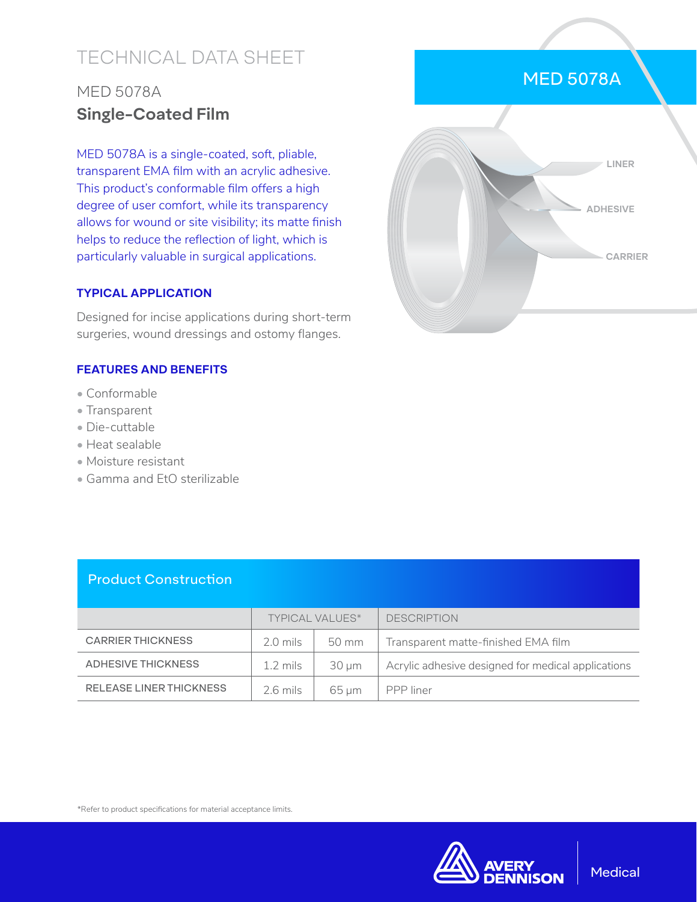# TECHNICAL DATA SHEET

# MED 5078A **Single-Coated Film**

MED 5078A is a single-coated, soft, pliable, transparent EMA film with an acrylic adhesive. This product's conformable film offers a high degree of user comfort, while its transparency allows for wound or site visibility; its matte finish helps to reduce the reflection of light, which is particularly valuable in surgical applications.

#### **TYPICAL APPLICATION**

Designed for incise applications during short-term surgeries, wound dressings and ostomy flanges.

### **FEATURES AND BENEFITS**

- Conformable
- Transparent
- Die-cuttable
- Heat sealable
- Moisture resistant
- Gamma and EtO sterilizable

| <b>Product Construction</b>    |                        |            |                                                    |
|--------------------------------|------------------------|------------|----------------------------------------------------|
|                                | <b>TYPICAL VALUES*</b> |            | <b>DESCRIPTION</b>                                 |
| <b>CARRIER THICKNESS</b>       | $2.0$ mils             | 50 mm      | Transparent matte-finished EMA film                |
| <b>ADHESIVE THICKNESS</b>      | $1.2 \text{ miles}$    | $30 \mu m$ | Acrylic adhesive designed for medical applications |
| <b>RELEASE LINER THICKNESS</b> | $2.6$ mils             | $65 \mu m$ | PPP liner                                          |

## MED 5078A



\*Refer to product specifications for material acceptance limits.